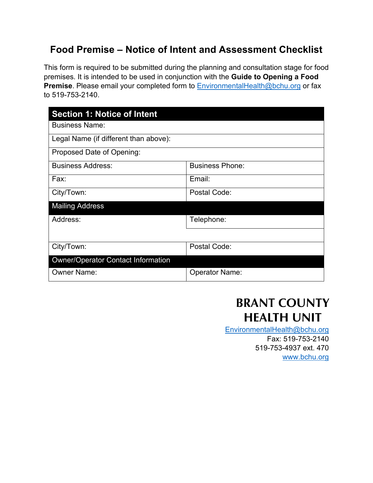## **Food Premise – Notice of Intent and Assessment Checklist**

This form is required to be submitted during the planning and consultation stage for food premises. It is intended to be used in conjunction with the **Guide to Opening a Food Premise**. Please email your completed form to [EnvironmentalHealth@bchu.org](mailto:EnvironmentalHealth@bchu.org) or fax to 519-753-2140.

| <b>Section 1: Notice of Intent</b>        |                        |
|-------------------------------------------|------------------------|
| <b>Business Name:</b>                     |                        |
| Legal Name (if different than above):     |                        |
| Proposed Date of Opening:                 |                        |
| <b>Business Address:</b>                  | <b>Business Phone:</b> |
| Fax:                                      | Email:                 |
| City/Town:                                | Postal Code:           |
| <b>Mailing Address</b>                    |                        |
| Address:                                  | Telephone:             |
|                                           |                        |
| City/Town:                                | Postal Code:           |
| <b>Owner/Operator Contact Information</b> |                        |
| <b>Owner Name:</b>                        | <b>Operator Name:</b>  |

## **BRANT COUNTY HEALTH UNIT**

 [www.bchu.org](http://www.bchu.org/) [EnvironmentalHealth@bchu.org](mailto:EnvironmentalHealth@bchu.org)  Fax: 519-753-2140 519-753-4937 ext. 470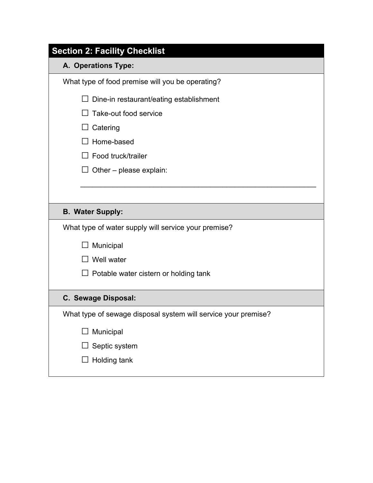| <b>Section 2: Facility Checklist</b>                           |
|----------------------------------------------------------------|
| A. Operations Type:                                            |
| What type of food premise will you be operating?               |
| $\Box$ Dine-in restaurant/eating establishment                 |
| Take-out food service                                          |
| Catering                                                       |
| Home-based                                                     |
| $\Box$ Food truck/trailer                                      |
| $\Box$ Other – please explain:                                 |
|                                                                |
|                                                                |
| <b>B. Water Supply:</b>                                        |
| What type of water supply will service your premise?           |
| $\Box$ Municipal                                               |
| $\exists$ Well water                                           |
| $\Box$ Potable water cistern or holding tank                   |
|                                                                |
| C. Sewage Disposal:                                            |
| What type of sewage disposal system will service your premise? |
| $\Box$ Municipal                                               |
| $\Box$ Septic system                                           |
| $\Box$ Holding tank                                            |
|                                                                |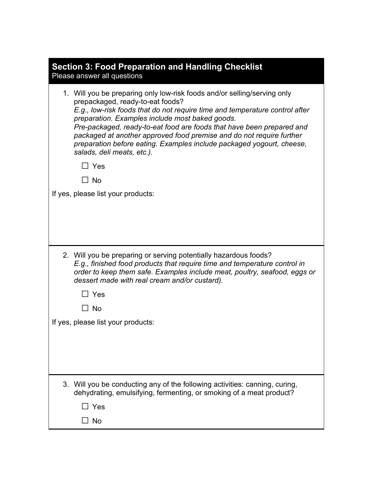| <b>Section 3: Food Preparation and Handling Checklist</b><br>Please answer all questions                                                                                                                                                                                                                                                                                                                                                                                                               |
|--------------------------------------------------------------------------------------------------------------------------------------------------------------------------------------------------------------------------------------------------------------------------------------------------------------------------------------------------------------------------------------------------------------------------------------------------------------------------------------------------------|
| 1. Will you be preparing only low-risk foods and/or selling/serving only<br>prepackaged, ready-to-eat foods?<br>E.g., low-risk foods that do not require time and temperature control after<br>preparation. Examples include most baked goods.<br>Pre-packaged, ready-to-eat food are foods that have been prepared and<br>packaged at another approved food premise and do not require further<br>preparation before eating. Examples include packaged yogourt, cheese,<br>salads, deli meats, etc.). |
| ∃ Yes                                                                                                                                                                                                                                                                                                                                                                                                                                                                                                  |
| $\Box$ No                                                                                                                                                                                                                                                                                                                                                                                                                                                                                              |
| If yes, please list your products:                                                                                                                                                                                                                                                                                                                                                                                                                                                                     |
|                                                                                                                                                                                                                                                                                                                                                                                                                                                                                                        |
|                                                                                                                                                                                                                                                                                                                                                                                                                                                                                                        |
| 2. Will you be preparing or serving potentially hazardous foods?<br>E.g., finished food products that require time and temperature control in<br>order to keep them safe. Examples include meat, poultry, seafood, eggs or<br>dessert made with real cream and/or custard).                                                                                                                                                                                                                            |
| $\sqsupset$ Yes                                                                                                                                                                                                                                                                                                                                                                                                                                                                                        |
| ∃ No                                                                                                                                                                                                                                                                                                                                                                                                                                                                                                   |
| If yes, please list your products:                                                                                                                                                                                                                                                                                                                                                                                                                                                                     |
|                                                                                                                                                                                                                                                                                                                                                                                                                                                                                                        |
| 3. Will you be conducting any of the following activities: canning, curing,<br>dehydrating, emulsifying, fermenting, or smoking of a meat product?                                                                                                                                                                                                                                                                                                                                                     |
| $\Box$ Yes                                                                                                                                                                                                                                                                                                                                                                                                                                                                                             |
| $\Box$ No                                                                                                                                                                                                                                                                                                                                                                                                                                                                                              |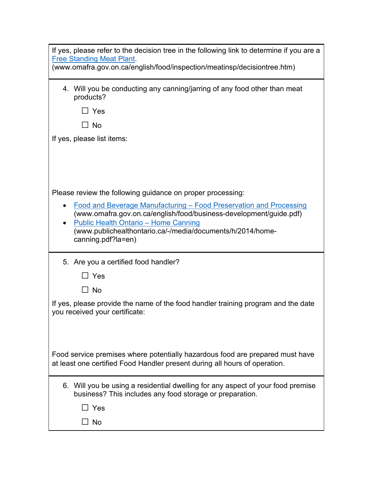| If yes, please refer to the decision tree in the following link to determine if you are a<br><b>Free Standing Meat Plant</b>                                                                                                                                                                          |  |
|-------------------------------------------------------------------------------------------------------------------------------------------------------------------------------------------------------------------------------------------------------------------------------------------------------|--|
| (www.omafra.gov.on.ca/english/food/inspection/meatinsp/decisiontree.htm)                                                                                                                                                                                                                              |  |
| 4. Will you be conducting any canning/jarring of any food other than meat<br>products?                                                                                                                                                                                                                |  |
| $\Box$ Yes                                                                                                                                                                                                                                                                                            |  |
| ]No                                                                                                                                                                                                                                                                                                   |  |
| If yes, please list items:                                                                                                                                                                                                                                                                            |  |
|                                                                                                                                                                                                                                                                                                       |  |
| Please review the following guidance on proper processing:                                                                                                                                                                                                                                            |  |
| Food and Beverage Manufacturing - Food Preservation and Processing<br>$\bullet$<br>(www.omafra.gov.on.ca/english/food/business-development/guide.pdf)<br><b>Public Health Ontario - Home Canning</b><br>$\bullet$<br>(www.publichealthontario.ca/-/media/documents/h/2014/home-<br>canning.pdf?la=en) |  |
| 5. Are you a certified food handler?                                                                                                                                                                                                                                                                  |  |
| $\Box$ Yes                                                                                                                                                                                                                                                                                            |  |
| $\Box$ No                                                                                                                                                                                                                                                                                             |  |
| If yes, please provide the name of the food handler training program and the date<br>you received your certificate:                                                                                                                                                                                   |  |
|                                                                                                                                                                                                                                                                                                       |  |
| Food service premises where potentially hazardous food are prepared must have<br>at least one certified Food Handler present during all hours of operation.                                                                                                                                           |  |
| 6. Will you be using a residential dwelling for any aspect of your food premise<br>business? This includes any food storage or preparation.                                                                                                                                                           |  |
| $\Box$ Yes                                                                                                                                                                                                                                                                                            |  |
| ∃ No                                                                                                                                                                                                                                                                                                  |  |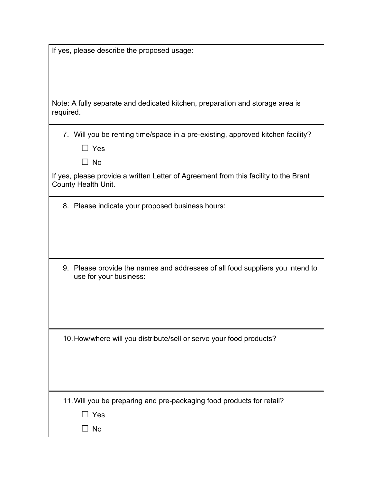| If yes, please describe the proposed usage:                                                                        |
|--------------------------------------------------------------------------------------------------------------------|
|                                                                                                                    |
|                                                                                                                    |
|                                                                                                                    |
| Note: A fully separate and dedicated kitchen, preparation and storage area is<br>required.                         |
| 7. Will you be renting time/space in a pre-existing, approved kitchen facility?                                    |
| $\Box$ Yes                                                                                                         |
| $\Box$ No                                                                                                          |
| If yes, please provide a written Letter of Agreement from this facility to the Brant<br><b>County Health Unit.</b> |
| 8. Please indicate your proposed business hours:                                                                   |
|                                                                                                                    |
|                                                                                                                    |
|                                                                                                                    |
|                                                                                                                    |
| 9. Please provide the names and addresses of all food suppliers you intend to<br>use for your business:            |
|                                                                                                                    |
|                                                                                                                    |
|                                                                                                                    |
|                                                                                                                    |
| 10. How/where will you distribute/sell or serve your food products?                                                |
|                                                                                                                    |
|                                                                                                                    |
|                                                                                                                    |
|                                                                                                                    |
| 11. Will you be preparing and pre-packaging food products for retail?                                              |
| $\Box$ Yes                                                                                                         |
| $\Box$ No                                                                                                          |